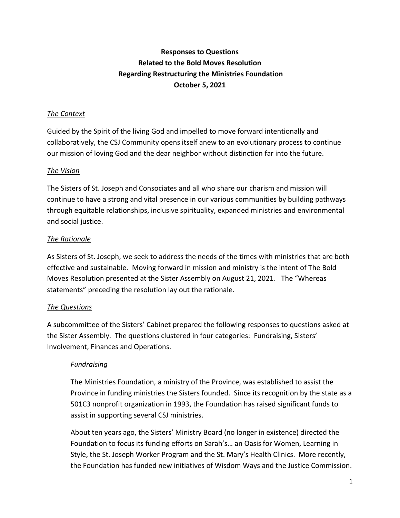# **Responses to Questions Related to the Bold Moves Resolution Regarding Restructuring the Ministries Foundation October 5, 2021**

### *The Context*

Guided by the Spirit of the living God and impelled to move forward intentionally and collaboratively, the CSJ Community opens itself anew to an evolutionary process to continue our mission of loving God and the dear neighbor without distinction far into the future.

### *The Vision*

The Sisters of St. Joseph and Consociates and all who share our charism and mission will continue to have a strong and vital presence in our various communities by building pathways through equitable relationships, inclusive spirituality, expanded ministries and environmental and social justice.

## *The Rationale*

As Sisters of St. Joseph, we seek to address the needs of the times with ministries that are both effective and sustainable. Moving forward in mission and ministry is the intent of The Bold Moves Resolution presented at the Sister Assembly on August 21, 2021. The "Whereas statements" preceding the resolution lay out the rationale.

#### *The Questions*

A subcommittee of the Sisters' Cabinet prepared the following responses to questions asked at the Sister Assembly. The questions clustered in four categories: Fundraising, Sisters' Involvement, Finances and Operations.

#### *Fundraising*

The Ministries Foundation, a ministry of the Province, was established to assist the Province in funding ministries the Sisters founded. Since its recognition by the state as a 501C3 nonprofit organization in 1993, the Foundation has raised significant funds to assist in supporting several CSJ ministries.

About ten years ago, the Sisters' Ministry Board (no longer in existence) directed the Foundation to focus its funding efforts on Sarah's… an Oasis for Women, Learning in Style, the St. Joseph Worker Program and the St. Mary's Health Clinics. More recently, the Foundation has funded new initiatives of Wisdom Ways and the Justice Commission.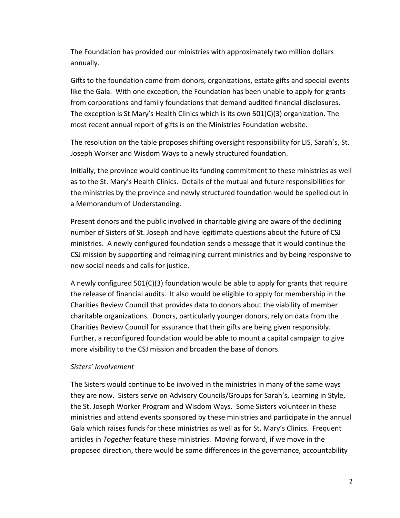The Foundation has provided our ministries with approximately two million dollars annually.

Gifts to the foundation come from donors, organizations, estate gifts and special events like the Gala. With one exception, the Foundation has been unable to apply for grants from corporations and family foundations that demand audited financial disclosures. The exception is St Mary's Health Clinics which is its own 501(C)(3) organization. The most recent annual report of gifts is on the Ministries Foundation website.

The resolution on the table proposes shifting oversight responsibility for LIS, Sarah's, St. Joseph Worker and Wisdom Ways to a newly structured foundation.

Initially, the province would continue its funding commitment to these ministries as well as to the St. Mary's Health Clinics. Details of the mutual and future responsibilities for the ministries by the province and newly structured foundation would be spelled out in a Memorandum of Understanding.

Present donors and the public involved in charitable giving are aware of the declining number of Sisters of St. Joseph and have legitimate questions about the future of CSJ ministries. A newly configured foundation sends a message that it would continue the CSJ mission by supporting and reimagining current ministries and by being responsive to new social needs and calls for justice.

A newly configured 501(C)(3) foundation would be able to apply for grants that require the release of financial audits. It also would be eligible to apply for membership in the Charities Review Council that provides data to donors about the viability of member charitable organizations. Donors, particularly younger donors, rely on data from the Charities Review Council for assurance that their gifts are being given responsibly. Further, a reconfigured foundation would be able to mount a capital campaign to give more visibility to the CSJ mission and broaden the base of donors.

#### *Sisters' Involvement*

The Sisters would continue to be involved in the ministries in many of the same ways they are now. Sisters serve on Advisory Councils/Groups for Sarah's, Learning in Style, the St. Joseph Worker Program and Wisdom Ways. Some Sisters volunteer in these ministries and attend events sponsored by these ministries and participate in the annual Gala which raises funds for these ministries as well as for St. Mary's Clinics. Frequent articles in *Together* feature these ministries. Moving forward, if we move in the proposed direction, there would be some differences in the governance, accountability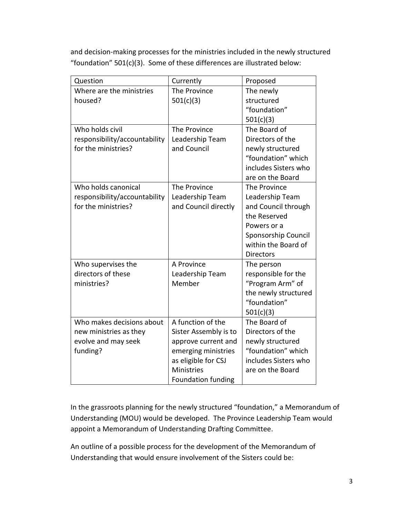and decision-making processes for the ministries included in the newly structured "foundation" 501(c)(3). Some of these differences are illustrated below:

| Question                      | Currently                 | Proposed             |
|-------------------------------|---------------------------|----------------------|
| Where are the ministries      | The Province              | The newly            |
| housed?                       | 501(c)(3)                 | structured           |
|                               |                           | "foundation"         |
|                               |                           | 501(c)(3)            |
| Who holds civil               | The Province              | The Board of         |
| responsibility/accountability | Leadership Team           | Directors of the     |
| for the ministries?           | and Council               | newly structured     |
|                               |                           | "foundation" which   |
|                               |                           | includes Sisters who |
|                               |                           | are on the Board     |
| Who holds canonical           | The Province              | The Province         |
| responsibility/accountability | Leadership Team           | Leadership Team      |
| for the ministries?           | and Council directly      | and Council through  |
|                               |                           | the Reserved         |
|                               |                           | Powers or a          |
|                               |                           | Sponsorship Council  |
|                               |                           | within the Board of  |
|                               |                           | <b>Directors</b>     |
| Who supervises the            | A Province                | The person           |
| directors of these            | Leadership Team           | responsible for the  |
| ministries?                   | Member                    | "Program Arm" of     |
|                               |                           | the newly structured |
|                               |                           | "foundation"         |
|                               |                           | 501(c)(3)            |
| Who makes decisions about     | A function of the         | The Board of         |
| new ministries as they        | Sister Assembly is to     | Directors of the     |
| evolve and may seek           | approve current and       | newly structured     |
| funding?                      | emerging ministries       | "foundation" which   |
|                               | as eligible for CSJ       | includes Sisters who |
|                               | Ministries                | are on the Board     |
|                               | <b>Foundation funding</b> |                      |

In the grassroots planning for the newly structured "foundation," a Memorandum of Understanding (MOU) would be developed. The Province Leadership Team would appoint a Memorandum of Understanding Drafting Committee.

An outline of a possible process for the development of the Memorandum of Understanding that would ensure involvement of the Sisters could be: